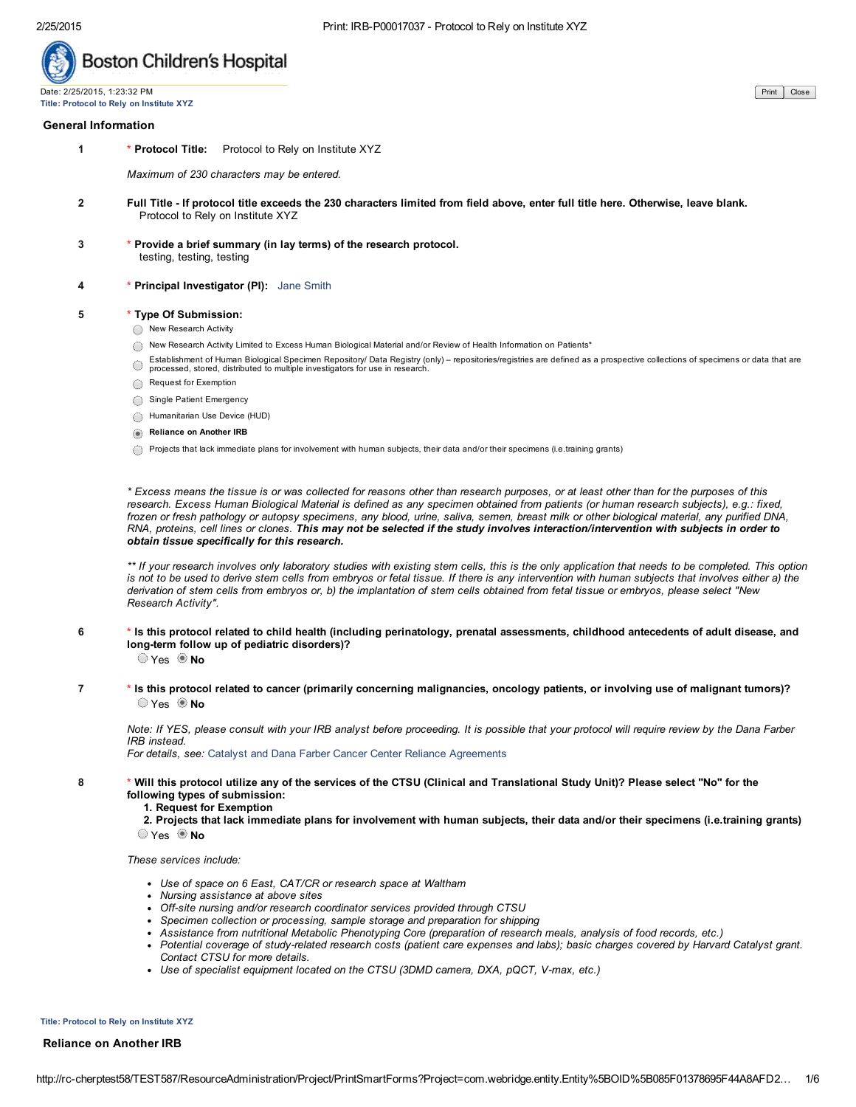

Title: Protocol to Rely on Institute XYZ

### General Information

1 \* Protocol Title: Protocol to Rely on Institute XYZ

*Maximum of 230 characters may be entered.*

- 2 Full Title If protocol title exceeds the 230 characters limited from field above, enter full title here. Otherwise, leave blank. Protocol to Rely on Institute XYZ
- 3 \* Provide a brief summary (in lay terms) of the research protocol. testing, testing, testing
- 4 **\* Principal Investigator (PI):** Jane Smith

## 5 \* Type Of Submission:

- ◯ New Research Activity
- New Research Activity Limited to Excess Human Biological Material and/or Review of Health Information on Patients\*
- Establishment of Human Biological Specimen Repository/ Data Registry (only) repositories/registries are defined as a prospective collections of specimens or data that are  $\bigcirc$ processed, stored, distributed to multiple investigators for use in research.
- Request for Exemption
- Single Patient Emergency
- Humanitarian Use Device (HUD)
- **Reliance on Another IRB**
- $\bigcirc$  Projects that lack immediate plans for involvement with human subjects, their data and/or their specimens (i.e.training grants)

*\* Excess means the tissue is or was collected for reasons other than research purposes, or at least other than for the purposes of this research. Excess Human Biological Material is defined as any specimen obtained from patients (or human research subjects), e.g.: fixed, frozen or fresh pathology or autopsy specimens, any blood, urine, saliva, semen, breast milk or other biological material, any purified DNA, RNA, proteins, cell lines or clones. This may not be selected if the study involves interaction/intervention with subjects in order to obtain tissue specifically for this research.*

*\*\* If your research involves only laboratory studies with existing stem cells, this is the only application that needs to be completed. This option is not to be used to derive stem cells from embryos or fetal tissue. If there is any intervention with human subjects that involves either a) the derivation of stem cells from embryos or, b) the implantation of stem cells obtained from fetal tissue or embryos, please select "New Research Activity".*

6 \* Is this protocol related to child health (including perinatology, prenatal assessments, childhood antecedents of adult disease, and long-term follow up of pediatric disorders)?

O Yes O No

7 \* Is this protocol related to cancer (primarily concerning malignancies, oncology patients, or involving use of malignant tumors)?  $\bigcirc$  Yes  $\bigcirc$  No

*Note: If YES, please consult with your IRB analyst before proceeding. It is possible that your protocol will require review by the Dana Farber IRB instead.* 

*For details, see:* [Catalyst and Dana Farber Cancer Center Reliance Agreements](http://www.childrenshospital.org/~/media/Research%20and%20Innovation/Office%20of%20Clinical%20Investigation/cipp_051_015_DFCI_CH.ashx)

- 8 \* Will this protocol utilize any of the services of the CTSU (Clinical and Translational Study Unit)? Please select "No" for the following types of submission:
	- 1. Request for Exemption
	- 2. Projects that lack immediate plans for involvement with human subjects, their data and/or their specimens (i.e.training grants)  $\bigcirc$  Yes  $\bigcirc$  No

### *These services include:*

- *Use of space on 6 East, CAT/CR or research space at Waltham*
- *Nursing assistance at above sites*
- *Offsite nursing and/or research coordinator services provided through CTSU*
- *Specimen collection or processing, sample storage and preparation for shipping*
- *Assistance from nutritional Metabolic Phenotyping Core (preparation of research meals, analysis of food records, etc.)*
- *Potential coverage of studyrelated research costs (patient care expenses and labs); basic charges covered by Harvard Catalyst grant. Contact CTSU for more details.*
- *Use of specialist equipment located on the CTSU (3DMD camera, DXA, pQCT, Vmax, etc.)*

Title: Protocol to Rely on Institute XYZ

## Reliance on Another IRB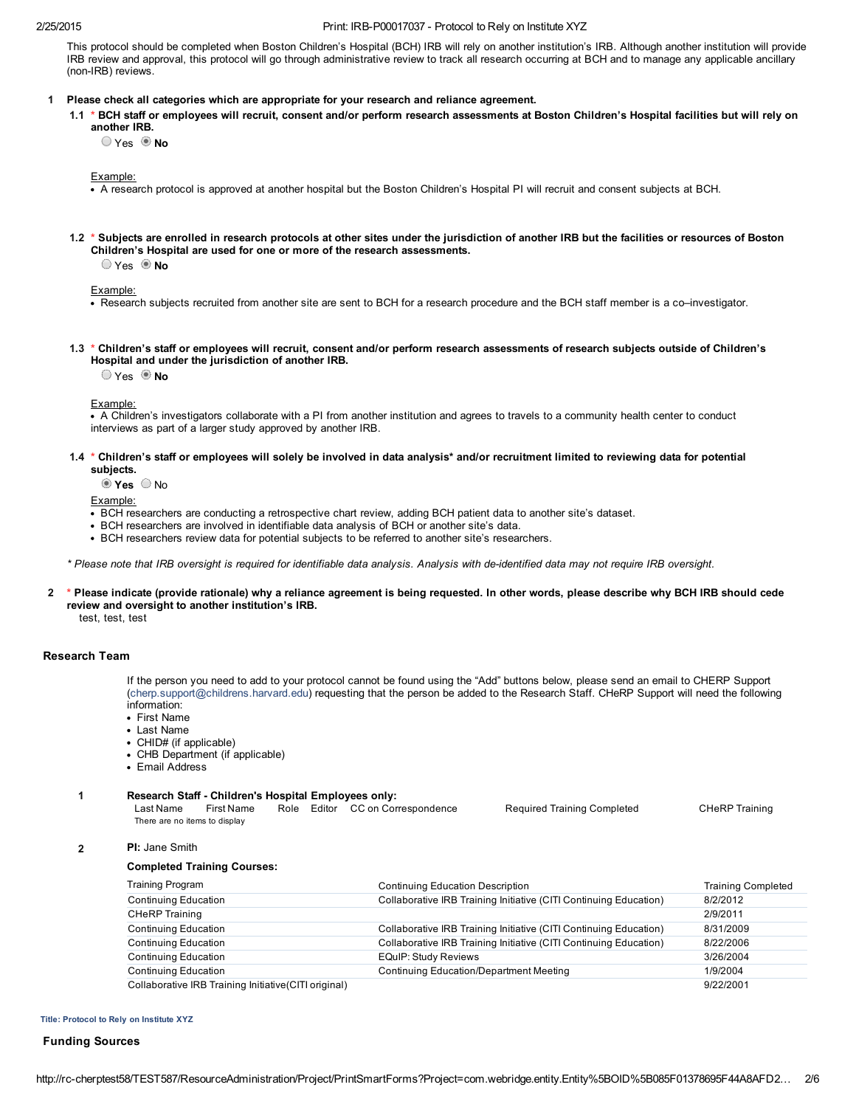### 2/25/2015 Print: IRBP00017037 Protocol to Rely on Institute XYZ

This protocol should be completed when Boston Children's Hospital (BCH) IRB will rely on another institution's IRB. Although another institution will provide IRB review and approval, this protocol will go through administrative review to track all research occurring at BCH and to manage any applicable ancillary (non-IRB) reviews.

## 1 Please check all categories which are appropriate for your research and reliance agreement.

1.1 \* BCH staff or employees will recruit, consent and/or perform research assessments at Boston Children's Hospital facilities but will rely on another IRB.

 $\bigcirc$  Yes  $\bigcirc$  No

Example:

- A research protocol is approved at another hospital but the Boston Children's Hospital PI will recruit and consent subjects at BCH.
- 1.2 \* Subjects are enrolled in research protocols at other sites under the jurisdiction of another IRB but the facilities or resources of Boston Children's Hospital are used for one or more of the research assessments.

 $\bigcirc$  Yes  $\bigcirc$  No

Example:

- Research subjects recruited from another site are sent to BCH for a research procedure and the BCH staff member is a co–investigator.
- 1.3 \* Children's staff or employees will recruit, consent and/or perform research assessments of research subjects outside of Children's Hospital and under the jurisdiction of another IRB.

 $\bigcirc$  Yes  $\bigcirc$  No

Example:

. A Children's investigators collaborate with a PI from another institution and agrees to travels to a community health center to conduct interviews as part of a larger study approved by another IRB.

## 1.4 \* Children's staff or employees will solely be involved in data analysis\* and/or recruitment limited to reviewing data for potential subjects.

 $\odot$  Yes  $\odot$  No

Example:

- BCH researchers are conducting a retrospective chart review, adding BCH patient data to another site's dataset.
- BCH researchers are involved in identifiable data analysis of BCH or another site's data.
- BCH researchers review data for potential subjects to be referred to another site's researchers.

*\* Please note that IRB oversight is required for identifiable data analysis. Analysis with deidentified data may not require IRB oversight.*

2 \* Please indicate (provide rationale) why a reliance agreement is being requested. In other words, please describe why BCH IRB should cede review and oversight to another institution's IRB.

test, test, test

## Research Team

If the person you need to add to your protocol cannot be found using the "Add" buttons below, please send an email to CHERP Support [\(cherp.support@childrens.harvard.edu\)](mailto:cherp.support@childrens.harvard.edu) requesting that the person be added to the Research Staff. CHeRP Support will need the following information:

- First Name
- Last Name
- CHID# (if applicable)
- CHB Department (if applicable)
- Email Address

### 1 Research Staff Children's Hospital Employees only:

| Last Name                     | First Name |  | Role Editor CC on Correspondence | <b>Required Training Completed</b> | <b>CHeRP Training</b> |
|-------------------------------|------------|--|----------------------------------|------------------------------------|-----------------------|
| There are no items to display |            |  |                                  |                                    |                       |

2 PI: Jane Smith

## Completed Training Courses:

| <b>Training Program</b>                               | <b>Continuing Education Description</b>                           | <b>Training Completed</b> |
|-------------------------------------------------------|-------------------------------------------------------------------|---------------------------|
| <b>Continuing Education</b>                           | Collaborative IRB Training Initiative (CITI Continuing Education) | 8/2/2012                  |
| <b>CHeRP Training</b>                                 |                                                                   | 2/9/2011                  |
| <b>Continuing Education</b>                           | Collaborative IRB Training Initiative (CITI Continuing Education) | 8/31/2009                 |
| <b>Continuing Education</b>                           | Collaborative IRB Training Initiative (CITI Continuing Education) | 8/22/2006                 |
| <b>Continuing Education</b>                           | <b>EQuIP: Study Reviews</b>                                       | 3/26/2004                 |
| Continuing Education                                  | Continuing Education/Department Meeting                           | 1/9/2004                  |
| Collaborative IRB Training Initiative (CITI original) |                                                                   | 9/22/2001                 |

#### Title: Protocol to Rely on Institute XYZ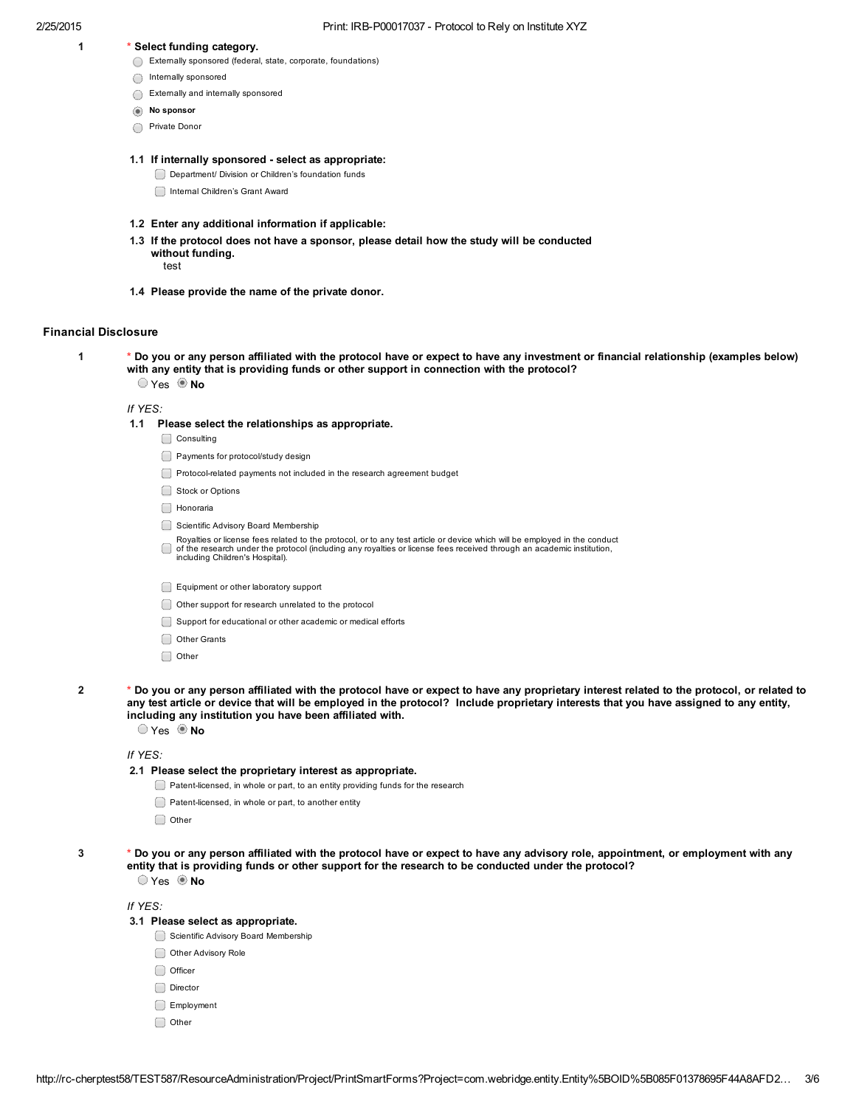- 1 \* Select funding category.
	- Externally sponsored (federal, state, corporate, foundations)
	- Internally sponsored
	- Externally and internally sponsored
	- $\circ$  No sponsor
	- Private Donor

## 1.1 If internally sponsored - select as appropriate:

- Department/ Division or Children's foundation funds
- Internal Children's Grant Award
- 1.2 Enter any additional information if applicable:
- 1.3 If the protocol does not have a sponsor, please detail how the study will be conducted without funding. test
	-
- 1.4 Please provide the name of the private donor.

# Financial Disclosure

1 \* Do you or any person affiliated with the protocol have or expect to have any investment or financial relationship (examples below) with any entity that is providing funds or other support in connection with the protocol?  $\circ$  Yes  $\circ$  No

*If YES:*

- 1.1 Please select the relationships as appropriate.
	- Consulting
	- Payments for protocol/study design
	- Protocolrelated payments not included in the research agreement budget
	- Stock or Options
	- **Honoraria**
	- Scientific Advisory Board Membership
	- Royalties or license fees related to the protocol, or to any test article or device which will be employed in the conduct<br>of the research under the protocol (including any royalties or license fees received through an acad
	- Equipment or other laboratory support
	- Other support for research unrelated to the protocol
	- Support for educational or other academic or medical efforts
	- Other Grants
	- Other
- 2 \* Do you or any person affiliated with the protocol have or expect to have any proprietary interest related to the protocol, or related to any test article or device that will be employed in the protocol? Include proprietary interests that you have assigned to any entity, including any institution you have been affiliated with.

 $\bigcirc$  Yes  $\circledcirc$  No

*If YES:*

- 2.1 Please select the proprietary interest as appropriate.
	- Patent-licensed, in whole or part, to an entity providing funds for the research
	- Patent-licensed, in whole or part, to another entity
	- Other
- 3 \* Do you or any person affiliated with the protocol have or expect to have any advisory role, appointment, or employment with any entity that is providing funds or other support for the research to be conducted under the protocol?

 $\bigcirc$  Yes  $\bigcirc$  No

*If YES:*

## 3.1 Please select as appropriate.

- Scientific Advisory Board Membership
- Other Advisory Role
- Officer
- Director
- Employment
- O Other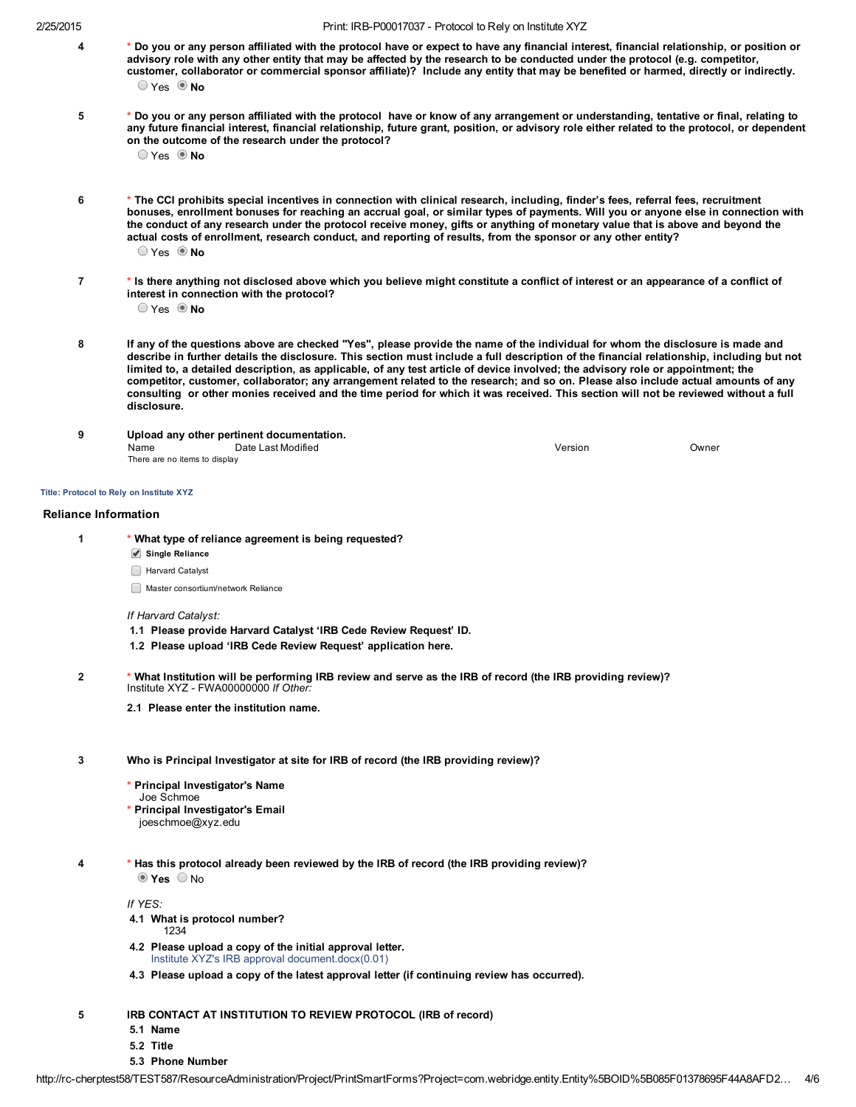- 4 \* Do you or any person affiliated with the protocol have or expect to have any financial interest, financial relationship, or position or advisory role with any other entity that may be affected by the research to be conducted under the protocol (e.g. competitor, customer, collaborator or commercial sponsor affiliate)? Include any entity that may be benefited or harmed, directly or indirectly.  $\bigcirc$  Yes  $\circledcirc$  No
- 5 \* Do you or any person affiliated with the protocol have or know of any arrangement or understanding, tentative or final, relating to any future financial interest, financial relationship, future grant, position, or advisory role either related to the protocol, or dependent on the outcome of the research under the protocol?

 $\bigcirc$  Yes  $\bigcirc$  No

- 6 \* The CCI prohibits special incentives in connection with clinical research, including, finder's fees, referral fees, recruitment bonuses, enrollment bonuses for reaching an accrual goal, or similar types of payments. Will you or anyone else in connection with the conduct of any research under the protocol receive money, gifts or anything of monetary value that is above and beyond the actual costs of enrollment, research conduct, and reporting of results, from the sponsor or any other entity?  $OYes$  **No**
- 7 \* Is there anything not disclosed above which you believe might constitute a conflict of interest or an appearance of a conflict of interest in connection with the protocol?

 $\circ$  Yes  $\circ$  No

- 8 If any of the questions above are checked "Yes", please provide the name of the individual for whom the disclosure is made and describe in further details the disclosure. This section must include a full description of the financial relationship, including but not limited to, a detailed description, as applicable, of any test article of device involved; the advisory role or appointment; the competitor, customer, collaborator; any arrangement related to the research; and so on. Please also include actual amounts of any consulting or other monies received and the time period for which it was received. This section will not be reviewed without a full disclosure.
- 9 Upload any other pertinent documentation. Name Date Last Modified Version Owner There are no items to display

### Title: Protocol to Rely on Institute XYZ

### Reliance Information

- 1 \* What type of reliance agreement is being requested?
	- Single Reliance
	- Harvard Catalyst
	- **Master consortium/network Reliance**

#### *If Harvard Catalyst:*

- 1.1 Please provide Harvard Catalyst 'IRB Cede Review Request' ID.
- 1.2 Please upload 'IRB Cede Review Request' application here.
- 2 \* What Institution will be performing IRB review and serve as the IRB of record (the IRB providing review)? Institute XYZ FWA00000000 *If Other:*
	- 2.1 Please enter the institution name.
- 3 Who is Principal Investigator at site for IRB of record (the IRB providing review)?
	- \* Principal Investigator's Name
	- Joe Schmoe
	- Principal Investigator's Email joeschmoe@xyz.edu
	-
- 4 \* Has this protocol already been reviewed by the IRB of record (the IRB providing review)?  $\odot$  Yes  $\odot$  No

*If YES:*

- 4.1 What is protocol number?
	- 1234
- 4.2 Please upload a copy of the initial approval letter. [Institute XYZ's IRB approva](http://rc-cherptest58/TEST587/Doc/0/7BI12H32EB4KV4UH9RAPJCM81D/Test%20document.docx)l document.docx(0.01)
- 4.3 Please upload a copy of the latest approval letter (if continuing review has occurred).
- 5 IRB CONTACT AT INSTITUTION TO REVIEW PROTOCOL (IRB of record)
	- 5.1 Name
	- 5.2 Title
	- 5.3 Phone Number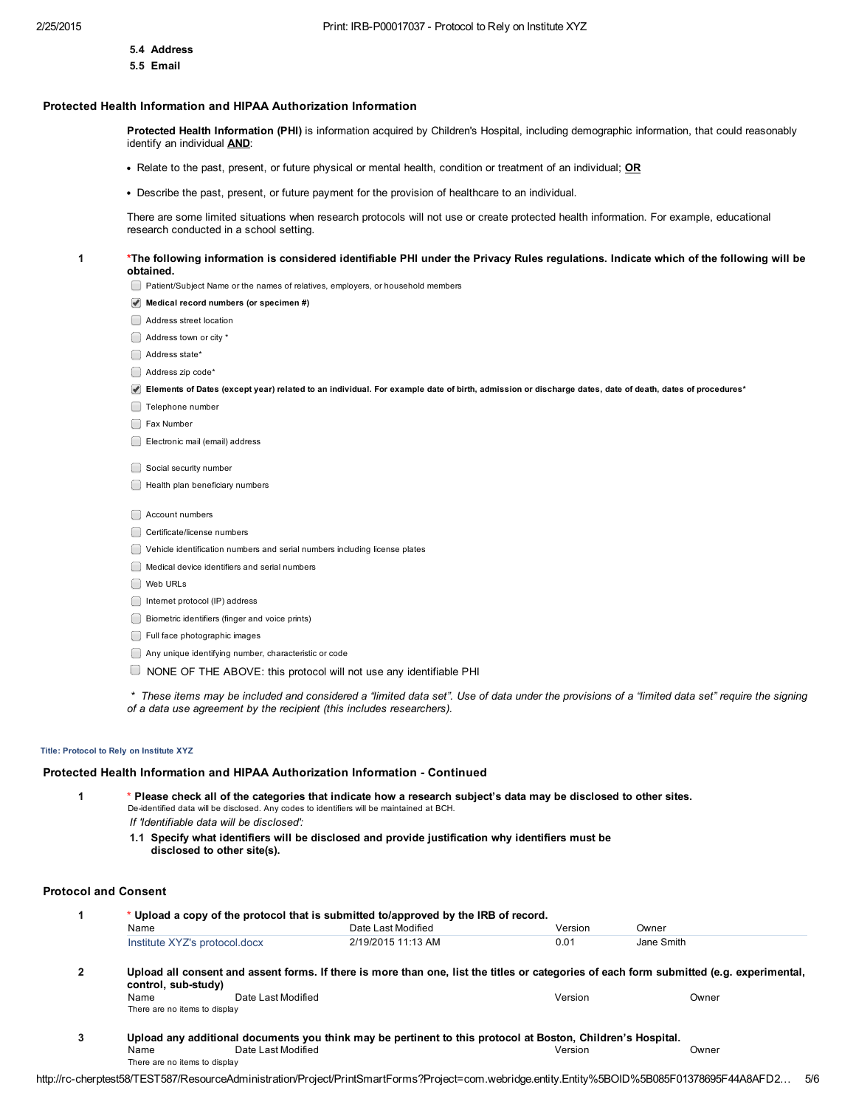- 5.4 Address
- 5.5 Email

# Protected Health Information and HIPAA Authorization Information

Protected Health Information (PHI) is information acquired by Children's Hospital, including demographic information, that could reasonably identify an individual AND:

- Relate to the past, present, or future physical or mental health, condition or treatment of an individual; OR
- Describe the past, present, or future payment for the provision of healthcare to an individual.

There are some limited situations when research protocols will not use or create protected health information. For example, educational research conducted in a school setting.

1 \*The following information is considered identifiable PHI under the Privacy Rules regulations. Indicate which of the following will be obtained.

Patient/Subject Name or the names of relatives, employers, or household members

- Medical record numbers (or specimen #)
- Address street location
- Address town or city \*
- Address state\*
- Address zip code\*
- $\blacktriangledown$  Elements of Dates (except year) related to an individual. For example date of birth, admission or discharge dates, date of death, dates of procedures\*
- Telephone number
- Fax Number
- Electronic mail (email) address
- Social security number
- Health plan beneficiary numbers
- Account numbers
- Certificate/license numbers
- Vehicle identification numbers and serial numbers including license plates
- Medical device identifiers and serial numbers
- Web URLs
- Internet protocol (IP) address
- Biometric identifiers (finger and voice prints)
- **Full face photographic images**
- Any unique identifying number, characteristic or code
- $\Box$  NONE OF THE ABOVE: this protocol will not use any identifiable PHI

*\* These items may be included and considered a "limited data set". Use of data under the provisions of a "limited data set" require the signing of a data use agreement by the recipient (this includes researchers).*

### Title: Protocol to Rely on Institute XYZ

### Protected Health Information and HIPAA Authorization Information Continued

1 \* Please check all of the categories that indicate how a research subject's data may be disclosed to other sites. De-identified data will be disclosed. Any codes to identifiers will be maintained at BCH. *If 'Identifiable data will be disclosed':*

1.1 Specify what identifiers will be disclosed and provide justification why identifiers must be disclosed to other site(s).

# Protocol and Consent

|   | * Upload a copy of the protocol that is submitted to/approved by the IRB of record.                                                                             |                    |         |            |  |  |  |  |  |
|---|-----------------------------------------------------------------------------------------------------------------------------------------------------------------|--------------------|---------|------------|--|--|--|--|--|
|   | Name                                                                                                                                                            | Date Last Modified | Version | Owner      |  |  |  |  |  |
|   | Institute XYZ's protocol.docx                                                                                                                                   | 2/19/2015 11:13 AM | 0.01    | Jane Smith |  |  |  |  |  |
| 2 | Upload all consent and assent forms. If there is more than one, list the titles or categories of each form submitted (e.g. experimental,<br>control, sub-study) |                    |         |            |  |  |  |  |  |
|   | Date Last Modified<br>Name<br>There are no items to display                                                                                                     |                    | Version | Owner      |  |  |  |  |  |
| 3 | Upload any additional documents you think may be pertinent to this protocol at Boston, Children's Hospital.                                                     |                    |         |            |  |  |  |  |  |
|   | Date Last Modified<br>Name                                                                                                                                      |                    | Version | Owner      |  |  |  |  |  |
|   | There are no items to display                                                                                                                                   |                    |         |            |  |  |  |  |  |